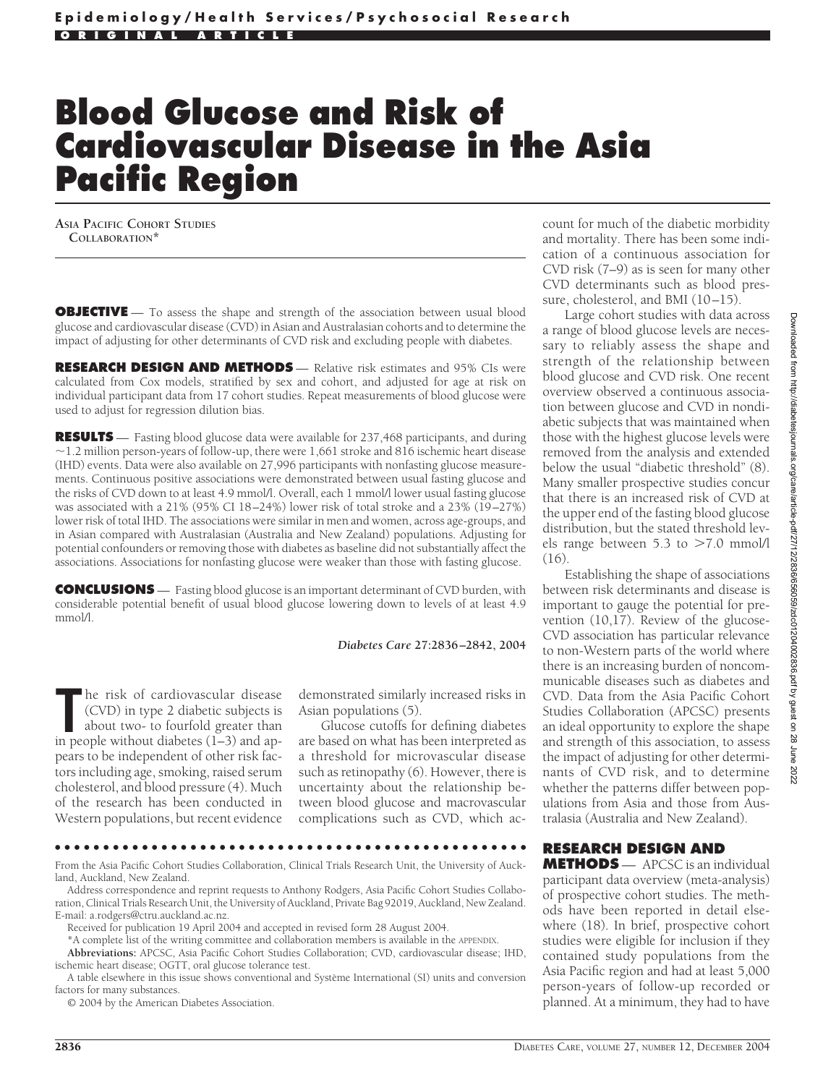# **Blood Glucose and Risk of Cardiovascular Disease in the Asia Pacific Region**

**ASIA PACIFIC COHORT STUDIES COLLABORATION\***

**OBJECTIVE** — To assess the shape and strength of the association between usual blood glucose and cardiovascular disease (CVD) in Asian and Australasian cohorts and to determine the impact of adjusting for other determinants of CVD risk and excluding people with diabetes.

**RESEARCH DESIGN AND METHODS** — Relative risk estimates and 95% CIs were calculated from Cox models, stratified by sex and cohort, and adjusted for age at risk on individual participant data from 17 cohort studies. Repeat measurements of blood glucose were used to adjust for regression dilution bias.

**RESULTS** — Fasting blood glucose data were available for 237,468 participants, and during  $\sim$  1.2 million person-years of follow-up, there were 1,661 stroke and 816 ischemic heart disease (IHD) events. Data were also available on 27,996 participants with nonfasting glucose measurements. Continuous positive associations were demonstrated between usual fasting glucose and the risks of CVD down to at least 4.9 mmol/l. Overall, each 1 mmol/l lower usual fasting glucose was associated with a 21% (95% CI 18–24%) lower risk of total stroke and a 23% (19–27%) lower risk of total IHD. The associations were similar in men and women, across age-groups, and in Asian compared with Australasian (Australia and New Zealand) populations. Adjusting for potential confounders or removing those with diabetes as baseline did not substantially affect the associations. Associations for nonfasting glucose were weaker than those with fasting glucose.

**CONCLUSIONS** — Fasting blood glucose is an important determinant of CVD burden, with considerable potential benefit of usual blood glucose lowering down to levels of at least 4.9 mmol/l.

#### *Diabetes Care* **27:2836 –2842, 2004**

**The risk of cardiovascular disease (CVD) in type 2 diabetic subjects is about two- to fourfold greater than in people without diabetes (1–3) and ap**he risk of cardiovascular disease (CVD) in type 2 diabetic subjects is about two- to fourfold greater than pears to be independent of other risk factors including age, smoking, raised serum cholesterol, and blood pressure (4). Much of the research has been conducted in Western populations, but recent evidence

demonstrated similarly increased risks in Asian populations (5).

Glucose cutoffs for defining diabetes are based on what has been interpreted as a threshold for microvascular disease such as retinopathy (6). However, there is uncertainty about the relationship between blood glucose and macrovascular complications such as CVD, which ac-

●●●●●●●●●●●●●●●●●●●●●●●●●●●●●●●●●●●●●●●●●●●●●●●●●

From the Asia Pacific Cohort Studies Collaboration, Clinical Trials Research Unit, the University of Auckland, Auckland, New Zealand.

Address correspondence and reprint requests to Anthony Rodgers, Asia Pacific Cohort Studies Collaboration, Clinical Trials Research Unit, the University of Auckland, Private Bag 92019, Auckland, New Zealand. E-mail: a.rodgers@ctru.auckland.ac.nz.

Received for publication 19 April 2004 and accepted in revised form 28 August 2004.

\*A complete list of the writing committee and collaboration members is available in the APPENDIX.

**Abbreviations:** APCSC, Asia Pacific Cohort Studies Collaboration; CVD, cardiovascular disease; IHD, ischemic heart disease; OGTT, oral glucose tolerance test.

A table elsewhere in this issue shows conventional and Système International (SI) units and conversion factors for many substances.

© 2004 by the American Diabetes Association.

count for much of the diabetic morbidity and mortality. There has been some indication of a continuous association for CVD risk (7–9) as is seen for many other CVD determinants such as blood pressure, cholesterol, and BMI (10-15).

Large cohort studies with data across a range of blood glucose levels are necessary to reliably assess the shape and strength of the relationship between blood glucose and CVD risk. One recent overview observed a continuous association between glucose and CVD in nondiabetic subjects that was maintained when those with the highest glucose levels were removed from the analysis and extended below the usual "diabetic threshold" (8). Many smaller prospective studies concur that there is an increased risk of CVD at the upper end of the fasting blood glucose distribution, but the stated threshold levels range between  $5.3$  to  $>7.0$  mmol/l (16).

Establishing the shape of associations between risk determinants and disease is important to gauge the potential for prevention (10,17). Review of the glucose-CVD association has particular relevance to non-Western parts of the world where there is an increasing burden of noncommunicable diseases such as diabetes and CVD. Data from the Asia Pacific Cohort Studies Collaboration (APCSC) presents an ideal opportunity to explore the shape and strength of this association, to assess the impact of adjusting for other determinants of CVD risk, and to determine whether the patterns differ between populations from Asia and those from Australasia (Australia and New Zealand).

## **RESEARCH DESIGN AND**

**METHODS** — APCSC is an individual participant data overview (meta-analysis) of prospective cohort studies. The methods have been reported in detail elsewhere (18). In brief, prospective cohort studies were eligible for inclusion if they contained study populations from the Asia Pacific region and had at least 5,000 person-years of follow-up recorded or planned. At a minimum, they had to have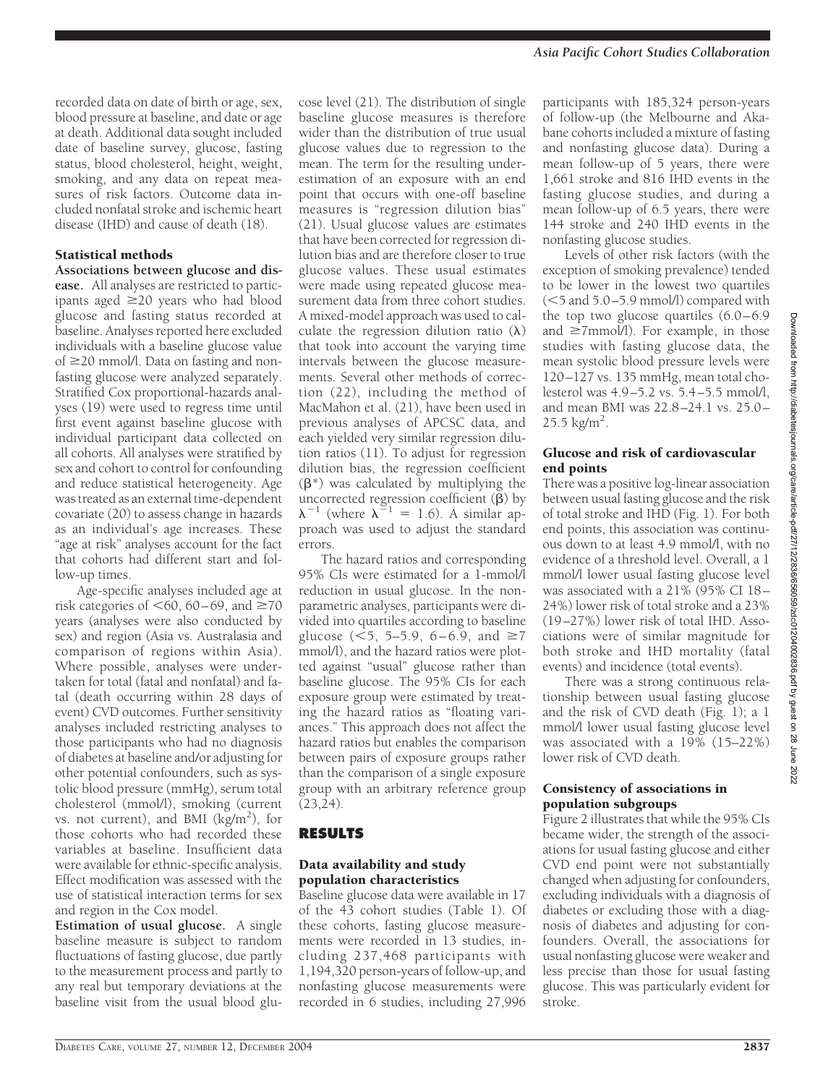recorded data on date of birth or age, sex, blood pressure at baseline, and date or age at death. Additional data sought included date of baseline survey, glucose, fasting status, blood cholesterol, height, weight, smoking, and any data on repeat measures of risk factors. Outcome data included nonfatal stroke and ischemic heart disease (IHD) and cause of death (18).

#### Statistical methods

**Associations between glucose and disease.** All analyses are restricted to participants aged  $\geq 20$  years who had blood glucose and fasting status recorded at baseline. Analyses reported here excluded individuals with a baseline glucose value of  $\geq$ 20 mmol/l. Data on fasting and nonfasting glucose were analyzed separately. Stratified Cox proportional-hazards analyses (19) were used to regress time until first event against baseline glucose with individual participant data collected on all cohorts. All analyses were stratified by sex and cohort to control for confounding and reduce statistical heterogeneity. Age was treated as an external time-dependent covariate (20) to assess change in hazards as an individual's age increases. These "age at risk" analyses account for the fact that cohorts had different start and follow-up times.

Age-specific analyses included age at risk categories of  $\leq 60$ , 60–69, and  $\geq 70$ years (analyses were also conducted by sex) and region (Asia vs. Australasia and comparison of regions within Asia). Where possible, analyses were undertaken for total (fatal and nonfatal) and fatal (death occurring within 28 days of event) CVD outcomes. Further sensitivity analyses included restricting analyses to those participants who had no diagnosis of diabetes at baseline and/or adjusting for other potential confounders, such as systolic blood pressure (mmHg), serum total cholesterol (mmol/l), smoking (current vs. not current), and BMI  $(kg/m<sup>2</sup>)$ , for those cohorts who had recorded these variables at baseline. Insufficient data were available for ethnic-specific analysis. Effect modification was assessed with the use of statistical interaction terms for sex and region in the Cox model.

**Estimation of usual glucose.** A single baseline measure is subject to random fluctuations of fasting glucose, due partly to the measurement process and partly to any real but temporary deviations at the baseline visit from the usual blood glu-

cose level (21). The distribution of single baseline glucose measures is therefore wider than the distribution of true usual glucose values due to regression to the mean. The term for the resulting underestimation of an exposure with an end point that occurs with one-off baseline measures is "regression dilution bias" (21). Usual glucose values are estimates that have been corrected for regression dilution bias and are therefore closer to true glucose values. These usual estimates were made using repeated glucose measurement data from three cohort studies. A mixed-model approach was used to calculate the regression dilution ratio  $(\lambda)$ that took into account the varying time intervals between the glucose measurements. Several other methods of correction (22), including the method of MacMahon et al. (21), have been used in previous analyses of APCSC data, and each yielded very similar regression dilution ratios (11). To adjust for regression dilution bias, the regression coefficient  $(\beta^*)$  was calculated by multiplying the uncorrected regression coefficient  $(\beta)$  by  $\lambda^{-1}$  (where  $\lambda^{-1} = 1.6$ ). A similar approach was used to adjust the standard errors.

The hazard ratios and corresponding 95% CIs were estimated for a 1-mmol/l reduction in usual glucose. In the nonparametric analyses, participants were divided into quartiles according to baseline glucose  $(<5, 5-5.9, 6-6.9,$  and  $\geq 7$ mmol/l), and the hazard ratios were plotted against "usual" glucose rather than baseline glucose. The 95% CIs for each exposure group were estimated by treating the hazard ratios as "floating variances." This approach does not affect the hazard ratios but enables the comparison between pairs of exposure groups rather than the comparison of a single exposure group with an arbitrary reference group  $(23.24)$ .

# **RESULTS**

#### Data availability and study population characteristics

Baseline glucose data were available in 17 of the 43 cohort studies (Table 1). Of these cohorts, fasting glucose measurements were recorded in 13 studies, including 237,468 participants with 1,194,320 person-years of follow-up, and nonfasting glucose measurements were recorded in 6 studies, including 27,996

participants with 185,324 person-years of follow-up (the Melbourne and Akabane cohorts included a mixture of fasting and nonfasting glucose data). During a mean follow-up of 5 years, there were 1,661 stroke and 816 IHD events in the fasting glucose studies, and during a mean follow-up of 6.5 years, there were 144 stroke and 240 IHD events in the

nonfasting glucose studies. Levels of other risk factors (with the exception of smoking prevalence) tended to be lower in the lowest two quartiles  $(<$  5 and 5.0–5.9 mmol/l) compared with the top two glucose quartiles (6.0–6.9 and  $\geq$ 7mmol/l). For example, in those studies with fasting glucose data, the mean systolic blood pressure levels were 120–127 vs. 135 mmHg, mean total cholesterol was 4.9–5.2 vs. 5.4–5.5 mmol/l, and mean BMI was 22.8–24.1 vs. 25.0–  $25.5 \text{ kg/m}^2$ .

#### Glucose and risk of cardiovascular end points

There was a positive log-linear association between usual fasting glucose and the risk of total stroke and IHD (Fig. 1). For both end points, this association was continuous down to at least 4.9 mmol/l, with no evidence of a threshold level. Overall, a 1 mmol/l lower usual fasting glucose level was associated with a 21% (95% CI 18– 24%) lower risk of total stroke and a 23% (19–27%) lower risk of total IHD. Associations were of similar magnitude for both stroke and IHD mortality (fatal events) and incidence (total events).

There was a strong continuous relationship between usual fasting glucose and the risk of CVD death (Fig. 1); a 1 mmol/l lower usual fasting glucose level was associated with a 19% (15–22%) lower risk of CVD death.

#### Consistency of associations in population subgroups

Figure 2 illustrates that while the 95% CIs became wider, the strength of the associations for usual fasting glucose and either CVD end point were not substantially changed when adjusting for confounders, excluding individuals with a diagnosis of diabetes or excluding those with a diagnosis of diabetes and adjusting for confounders. Overall, the associations for usual nonfasting glucose were weaker and less precise than those for usual fasting glucose. This was particularly evident for stroke.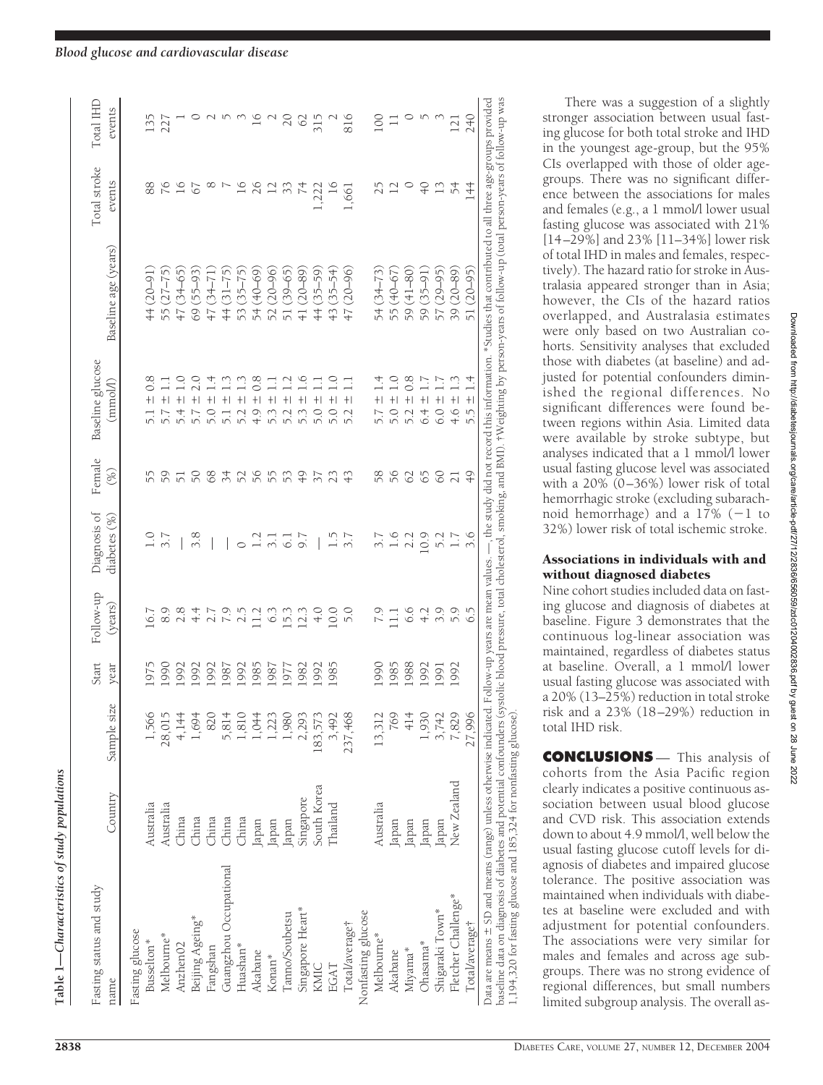*Characteristics of study populations*

| :                                                                                                                                                                                                                                 |
|-----------------------------------------------------------------------------------------------------------------------------------------------------------------------------------------------------------------------------------|
|                                                                                                                                                                                                                                   |
|                                                                                                                                                                                                                                   |
|                                                                                                                                                                                                                                   |
|                                                                                                                                                                                                                                   |
| i                                                                                                                                                                                                                                 |
|                                                                                                                                                                                                                                   |
|                                                                                                                                                                                                                                   |
|                                                                                                                                                                                                                                   |
|                                                                                                                                                                                                                                   |
|                                                                                                                                                                                                                                   |
|                                                                                                                                                                                                                                   |
| ׇׇ֦֡                                                                                                                                                                                                                              |
|                                                                                                                                                                                                                                   |
|                                                                                                                                                                                                                                   |
| ĺ                                                                                                                                                                                                                                 |
|                                                                                                                                                                                                                                   |
|                                                                                                                                                                                                                                   |
|                                                                                                                                                                                                                                   |
|                                                                                                                                                                                                                                   |
|                                                                                                                                                                                                                                   |
|                                                                                                                                                                                                                                   |
|                                                                                                                                                                                                                                   |
|                                                                                                                                                                                                                                   |
|                                                                                                                                                                                                                                   |
|                                                                                                                                                                                                                                   |
|                                                                                                                                                                                                                                   |
|                                                                                                                                                                                                                                   |
|                                                                                                                                                                                                                                   |
|                                                                                                                                                                                                                                   |
|                                                                                                                                                                                                                                   |
|                                                                                                                                                                                                                                   |
| i                                                                                                                                                                                                                                 |
|                                                                                                                                                                                                                                   |
|                                                                                                                                                                                                                                   |
|                                                                                                                                                                                                                                   |
|                                                                                                                                                                                                                                   |
|                                                                                                                                                                                                                                   |
|                                                                                                                                                                                                                                   |
|                                                                                                                                                                                                                                   |
|                                                                                                                                                                                                                                   |
| ו<br>נ                                                                                                                                                                                                                            |
|                                                                                                                                                                                                                                   |
|                                                                                                                                                                                                                                   |
|                                                                                                                                                                                                                                   |
| ¢                                                                                                                                                                                                                                 |
|                                                                                                                                                                                                                                   |
|                                                                                                                                                                                                                                   |
|                                                                                                                                                                                                                                   |
|                                                                                                                                                                                                                                   |
|                                                                                                                                                                                                                                   |
|                                                                                                                                                                                                                                   |
| i<br>District in the second second the second second that the conditions is a condition of the condition of the condition of the condition of the condition of the condition of the condition of the condition of the condition o |
| ĺ                                                                                                                                                                                                                                 |
|                                                                                                                                                                                                                                   |
|                                                                                                                                                                                                                                   |
|                                                                                                                                                                                                                                   |
|                                                                                                                                                                                                                                   |
|                                                                                                                                                                                                                                   |
|                                                                                                                                                                                                                                   |
|                                                                                                                                                                                                                                   |
|                                                                                                                                                                                                                                   |
| ៓                                                                                                                                                                                                                                 |
|                                                                                                                                                                                                                                   |
|                                                                                                                                                                                                                                   |
|                                                                                                                                                                                                                                   |
| =<br>D                                                                                                                                                                                                                            |
| š                                                                                                                                                                                                                                 |

#### *Blood glucose and cardiovascular disease*

| Fasting status and study<br>name                                                                                                                                                                                   | Country         | Sample size | Start<br>year | Follow-up<br>(years) | Diagnosis of<br>diabetes (%) | Female<br>(%)            | Baseline glucose<br>(mmol/l)            | Baseline age (years)                                                                                                                                                                                                                                                                | Total stroke<br>events | Total IHE<br>events |
|--------------------------------------------------------------------------------------------------------------------------------------------------------------------------------------------------------------------|-----------------|-------------|---------------|----------------------|------------------------------|--------------------------|-----------------------------------------|-------------------------------------------------------------------------------------------------------------------------------------------------------------------------------------------------------------------------------------------------------------------------------------|------------------------|---------------------|
| Fasting glucose                                                                                                                                                                                                    |                 |             |               |                      |                              |                          |                                         |                                                                                                                                                                                                                                                                                     |                        |                     |
| Busselton*                                                                                                                                                                                                         | Australia       | 1,566       | 975           | 16.7                 |                              |                          | 0.8<br>$\pm$                            | 44 (20-91)                                                                                                                                                                                                                                                                          |                        | 35                  |
| Melbourne*                                                                                                                                                                                                         | Australia       | 28,015      | 0661          | 8.9                  | 3.7                          | 59                       | $\pm$                                   | $55(27 - 75)$                                                                                                                                                                                                                                                                       |                        | 227                 |
| Anzhen02                                                                                                                                                                                                           | China           | 4,144       | 992           | 2.8                  | I                            | $\overline{51}$          | 5.4                                     | 47 (34–65)                                                                                                                                                                                                                                                                          |                        |                     |
| Beijing Ageing*                                                                                                                                                                                                    | China           | 1,694       | 992           | $\frac{4}{1}$        | 3.8                          | 50                       |                                         | 69 (55–93)                                                                                                                                                                                                                                                                          | Ö                      |                     |
| Fangshan                                                                                                                                                                                                           | China           | 820         | 992           | 2.7                  |                              | 89                       | $^{+1}$<br>5.0                          | 47 (34-71                                                                                                                                                                                                                                                                           |                        |                     |
| Guangzhou Occupational                                                                                                                                                                                             | China           | 5,814       | 1987          | 7.9                  |                              | 34                       |                                         | 44 (31–75)                                                                                                                                                                                                                                                                          |                        |                     |
| Huashan*                                                                                                                                                                                                           | China           | 1,810       | 1992          | 2.5                  |                              | 52                       | Η<br>5.2                                | 53 (35–75)                                                                                                                                                                                                                                                                          |                        |                     |
| Akabane                                                                                                                                                                                                            | Japan           | 1,044       | 985           | 11.2                 | $\sim$                       | 56                       | $\frac{8}{2}$<br>$^{+}$<br>$\circ$      | 54 (40–69)                                                                                                                                                                                                                                                                          |                        |                     |
| Konan*                                                                                                                                                                                                             | Japan           | 1,223       | 1987          | 6.3                  | 3.1                          | 55                       | $^{+1}$<br>$\dot{\cup}$                 | 52 (20-96)                                                                                                                                                                                                                                                                          |                        |                     |
| Tanno/Soubetsu                                                                                                                                                                                                     | Japan           | 1,980       | 977           | 15.3                 | $\overline{61}$              | 53                       | Η<br>ŗ                                  | 51 (39–65)                                                                                                                                                                                                                                                                          |                        | 20                  |
| Singapore Heart*                                                                                                                                                                                                   | Singapore       | 2,293       | 982           | 12.3                 | 5.6                          | $\frac{1}{4}$            | $\frac{6}{1}$<br>$^{+}$<br>$\dot{\cup}$ | 41 (20-89)                                                                                                                                                                                                                                                                          |                        | 2                   |
| KMIC                                                                                                                                                                                                               | outh Korea      | 183,573     | 992           | $rac{1}{2}$          |                              | $\overline{\mathcal{E}}$ | $^{+1}$<br>5.0                          | 44 (35–59)                                                                                                                                                                                                                                                                          |                        | 315                 |
| EGAT                                                                                                                                                                                                               | <b>Chailand</b> | 3,492       | 1985          | 10.0                 | 1.5<br>Ē                     | 23                       | $^{+}$<br>$\bigcirc$                    | 43 (35–54)                                                                                                                                                                                                                                                                          |                        |                     |
| Total/average†                                                                                                                                                                                                     |                 | 237,468     |               | 5.0                  | 3.7                          | 43                       | $+$<br>52                               | 47 (20–96)                                                                                                                                                                                                                                                                          | 1,661                  | 816                 |
| Nonfasting glucose                                                                                                                                                                                                 |                 |             |               |                      |                              |                          |                                         |                                                                                                                                                                                                                                                                                     |                        |                     |
| Melbourne*                                                                                                                                                                                                         | Australia       | 13,312      | 990           | 7.9                  |                              | 58                       | 4.                                      | 54 (34–73)                                                                                                                                                                                                                                                                          |                        | $\Xi$               |
| Akabane                                                                                                                                                                                                            | Japan           | 769         | 1985          | $\Xi$                | 1.6                          | 56                       | $\pm$<br>5.0                            | 55 (40-67)                                                                                                                                                                                                                                                                          |                        |                     |
| Miyama*                                                                                                                                                                                                            | Japan           | 414         | 1988          | 6.6                  | 2.2                          | 62                       | 0.8<br>$\pm$                            | 59 (41-80)                                                                                                                                                                                                                                                                          |                        |                     |
| Ohasama*                                                                                                                                                                                                           | Japan           | 1,930       | 992           | 4.2                  | 10.9                         | 65                       | $\pm$<br>6.4                            | 59 (35-91                                                                                                                                                                                                                                                                           | $\frac{1}{2}$          | m                   |
| Shigaraki Town*                                                                                                                                                                                                    | Japan           | 3,742       | 1991          | 3.9                  | 5.2                          | $\infty$                 | $+1$<br>0.0                             | 57 (29-95)                                                                                                                                                                                                                                                                          |                        | $\sim$              |
| Fletcher Challenge*                                                                                                                                                                                                | New Zealand     | 7,829       | 992           | 5.9                  |                              | $\overline{c}$           | $+6 +$                                  | 39 (20–89)                                                                                                                                                                                                                                                                          | 54                     | 121                 |
| Total/average†                                                                                                                                                                                                     |                 | 27,996      |               | 6.5                  | 3.6                          | 49                       | $\frac{1}{4}$<br>$+1$<br>5.5            | 51 (20-95)                                                                                                                                                                                                                                                                          | $\frac{44}{1}$         | 240                 |
| Data are means ± SD and means (range) unless otherwise indicated. F<br>baseline data on diagnosis of diabetes and potential confounders (syst<br>1,194,320 for fasting glucose and 185,324 for nonfasting glucose) |                 |             |               |                      |                              |                          |                                         | olic blood pressure, total cholesterol, smoking, and BMI). †Weighting by person-years of follow-up (total person-years of follow-up was<br>ollow-up years are mean values. —, the study did not record this information. *Studies that contributed to all three age-groups provided |                        |                     |

There was a suggestion of a slightly stronger association between usual fasting glucose for both total stroke and IHD in the youngest age-group, but the 95% CIs overlapped with those of older agegroups. There was no significant difference between the associations for males and females (e.g., a 1 mmol/l lower usual fasting glucose was associated with 21% [14–29%] and 23% [11–34%] lower risk of total IHD in males and females, respectively). The hazard ratio for stroke in Australasia appeared stronger than in Asia; however, the CIs of the hazard ratios overlapped, and Australasia estimates were only based on two Australian cohorts. Sensitivity analyses that excluded those with diabetes (at baseline) and adjusted for potential confounders diminished the regional differences. No significant differences were found between regions within Asia. Limited data were available by stroke subtype, but analyses indicated that a 1 mmol/l lower usual fasting glucose level was associated with a  $20\%$  (0-36%) lower risk of total hemorrhagic stroke (excluding subarachnoid hemorrhage) and a  $17\%$  (-1 to 32%) lower risk of total ischemic stroke.

### Associations in individuals with and without diagnosed diabetes

Nine cohort studies included data on fasting glucose and diagnosis of diabetes at baseline. Figure 3 demonstrates that the continuous log-linear association was maintained, regardless of diabetes status at baseline. Overall, a 1 mmol/l lower usual fasting glucose was associated with a 20% (13–25%) reduction in total stroke risk and a 23% (18–29%) reduction in total IHD risk.

**CONCLUSIONS** — This analysis of cohorts from the Asia Pacific region clearly indicates a positive continuous association between usual blood glucose and CVD risk. This association extends down to about 4.9 mmol/l, well below the usual fasting glucose cutoff levels for diagnosis of diabetes and impaired glucose tolerance. The positive association was maintained when individuals with diabetes at baseline were excluded and with adjustment for potential confounders. The associations were very similar for males and females and across age subgroups. There was no strong evidence of regional differences, but small numbers limited subgroup analysis. The overall as-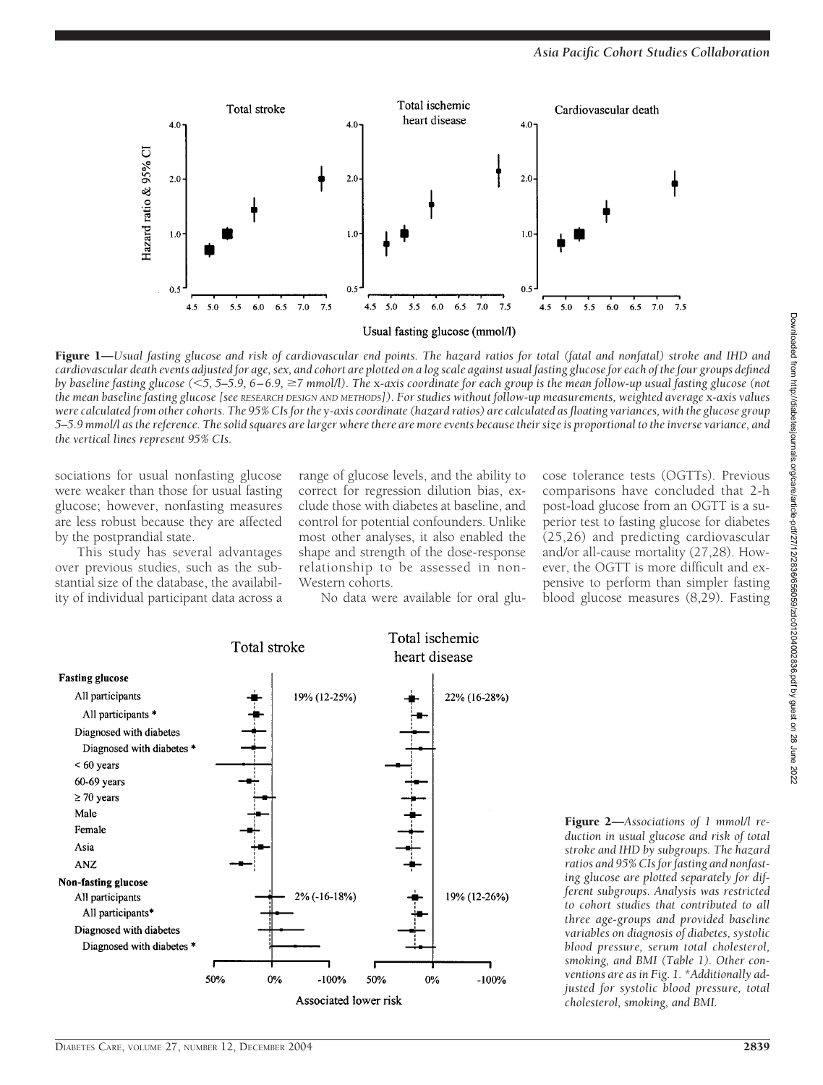

Figure 1—*Usual fasting glucose and risk of cardiovascular end points. The hazard ratios for total (fatal and nonfatal) stroke and IHD and cardiovascular death events adjusted for age, sex, and cohort are plotted on a log scale against usual fasting glucose for each of the four groups defined by baseline fasting glucose (5, 5–5.9, 6 – 6.9, 7 mmol/l). The* x*-axis coordinate for each group is the mean follow-up usual fasting glucose (not the mean baseline fasting glucose [see RESEARCH DESIGN AND METHODS]). For studies without follow-up measurements, weighted average* x*-axis values were calculated from other cohorts. The 95% CIs for the* y*-axis coordinate (hazard ratios) are calculated as floating variances, with the glucose group 5–5.9 mmol/l as the reference. The solid squares are larger where there are more events because their size is proportional to the inverse variance, and the vertical lines represent 95% CIs.*

sociations for usual nonfasting glucose were weaker than those for usual fasting glucose; however, nonfasting measures are less robust because they are affected by the postprandial state.

This study has several advantages over previous studies, such as the substantial size of the database, the availability of individual participant data across a

range of glucose levels, and the ability to correct for regression dilution bias, exclude those with diabetes at baseline, and control for potential confounders. Unlike most other analyses, it also enabled the shape and strength of the dose-response relationship to be assessed in non-Western cohorts.

No data were available for oral glu-



cose tolerance tests (OGTTs). Previous comparisons have concluded that 2-h post-load glucose from an OGTT is a superior test to fasting glucose for diabetes  $(25,26)$  and predicting cardiovascular and/or all-cause mortality (27,28). However, the OGTT is more difficult and expensive to perform than simpler fasting blood glucose measures (8,29). Fasting

Figure 2—*Associations of 1 mmol/l reduction in usual glucose and risk of total stroke and IHD by subgroups. The hazard ratios and 95% CIs for fasting and nonfasting glucose are plotted separately for different subgroups. Analysis was restricted to cohort studies that contributed to all three age-groups and provided baseline variables on diagnosis of diabetes, systolic blood pressure, serum total cholesterol, smoking, and BMI (Table 1). Other conventions are as in Fig. 1. \*Additionally adjusted for systolic blood pressure, total cholesterol, smoking, and BMI.*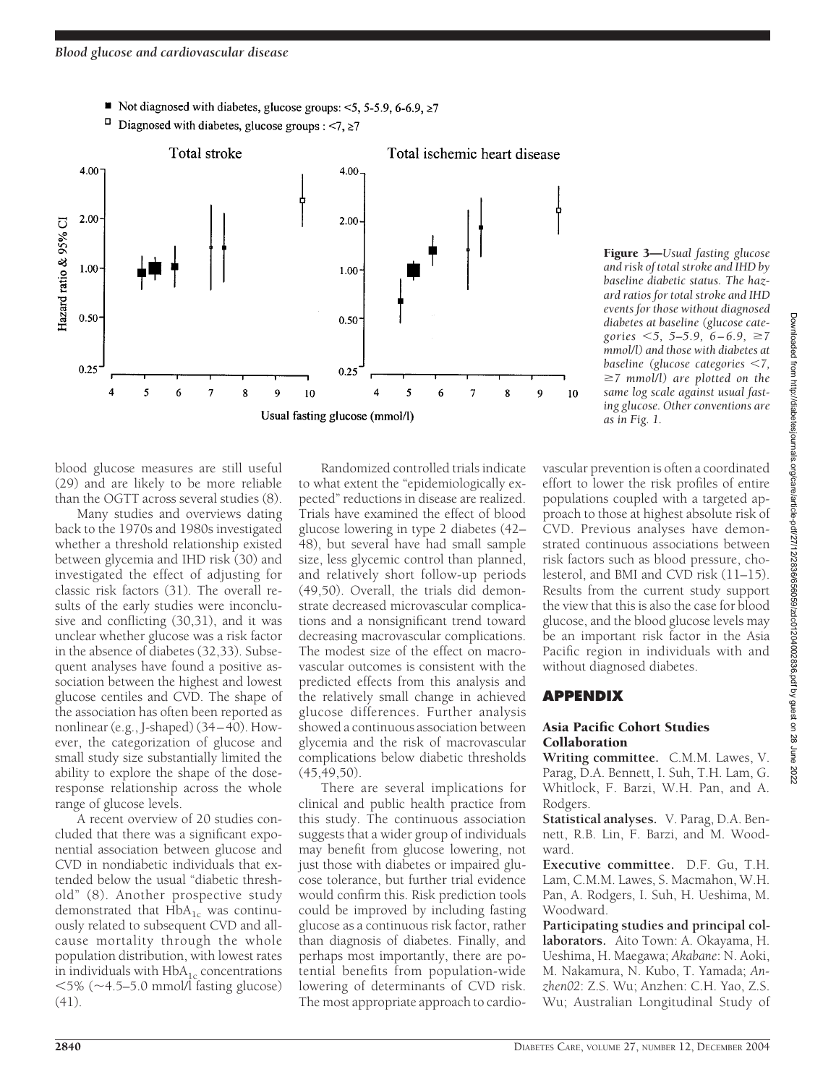Not diagnosed with diabetes, glucose groups:  $\leq$ 5, 5-5.9, 6-6.9,  $\geq$ 7

о Diagnosed with diabetes, glucose groups : <7,  $\ge$ 7



Figure 3—*Usual fasting glucose and risk of total stroke and IHD by baseline diabetic status. The hazard ratios for total stroke and IHD events for those without diagnosed diabetes at baseline (glucose categories* <5, 5–5.9, 6–6.9, ≥7 *mmol/l) and those with diabetes at baseline (glucose categories 7, 7 mmol/l) are plotted on the same log scale against usual fasting glucose. Other conventions are as in Fig. 1.*

blood glucose measures are still useful (29) and are likely to be more reliable than the OGTT across several studies (8).

Many studies and overviews dating back to the 1970s and 1980s investigated whether a threshold relationship existed between glycemia and IHD risk (30) and investigated the effect of adjusting for classic risk factors (31). The overall results of the early studies were inconclusive and conflicting (30,31), and it was unclear whether glucose was a risk factor in the absence of diabetes (32,33). Subsequent analyses have found a positive association between the highest and lowest glucose centiles and CVD. The shape of the association has often been reported as nonlinear (e.g., J-shaped)  $(34-40)$ . However, the categorization of glucose and small study size substantially limited the ability to explore the shape of the doseresponse relationship across the whole range of glucose levels.

A recent overview of 20 studies concluded that there was a significant exponential association between glucose and CVD in nondiabetic individuals that extended below the usual "diabetic threshold" (8). Another prospective study demonstrated that  $HbA_{1c}$  was continuously related to subsequent CVD and allcause mortality through the whole population distribution, with lowest rates in individuals with  $HbA_{1c}$  concentrations  $5\%$  ( $\sim$ 4.5–5.0 mmol/l fasting glucose) (41).

Randomized controlled trials indicate to what extent the "epidemiologically expected" reductions in disease are realized. Trials have examined the effect of blood glucose lowering in type 2 diabetes (42– 48), but several have had small sample size, less glycemic control than planned, and relatively short follow-up periods (49,50). Overall, the trials did demonstrate decreased microvascular complications and a nonsignificant trend toward decreasing macrovascular complications. The modest size of the effect on macrovascular outcomes is consistent with the predicted effects from this analysis and the relatively small change in achieved glucose differences. Further analysis showed a continuous association between glycemia and the risk of macrovascular complications below diabetic thresholds (45,49,50).

There are several implications for clinical and public health practice from this study. The continuous association suggests that a wider group of individuals may benefit from glucose lowering, not just those with diabetes or impaired glucose tolerance, but further trial evidence would confirm this. Risk prediction tools could be improved by including fasting glucose as a continuous risk factor, rather than diagnosis of diabetes. Finally, and perhaps most importantly, there are potential benefits from population-wide lowering of determinants of CVD risk. The most appropriate approach to cardio-

vascular prevention is often a coordinated effort to lower the risk profiles of entire populations coupled with a targeted approach to those at highest absolute risk of CVD. Previous analyses have demonstrated continuous associations between risk factors such as blood pressure, cholesterol, and BMI and CVD risk (11–15). Results from the current study support the view that this is also the case for blood glucose, and the blood glucose levels may be an important risk factor in the Asia Pacific region in individuals with and without diagnosed diabetes.

# **APPENDIX**

#### Asia Pacific Cohort Studies Collaboration

**Writing committee.** C.M.M. Lawes, V. Parag, D.A. Bennett, I. Suh, T.H. Lam, G. Whitlock, F. Barzi, W.H. Pan, and A. Rodgers.

**Statistical analyses.** V. Parag, D.A. Bennett, R.B. Lin, F. Barzi, and M. Woodward.

**Executive committee.** D.F. Gu, T.H. Lam, C.M.M. Lawes, S. Macmahon, W.H. Pan, A. Rodgers, I. Suh, H. Ueshima, M. Woodward.

**Participating studies and principal collaborators.** Aito Town: A. Okayama, H. Ueshima, H. Maegawa; *Akabane*: N. Aoki, M. Nakamura, N. Kubo, T. Yamada; *Anzhen02*: Z.S. Wu; Anzhen: C.H. Yao, Z.S. Wu; Australian Longitudinal Study of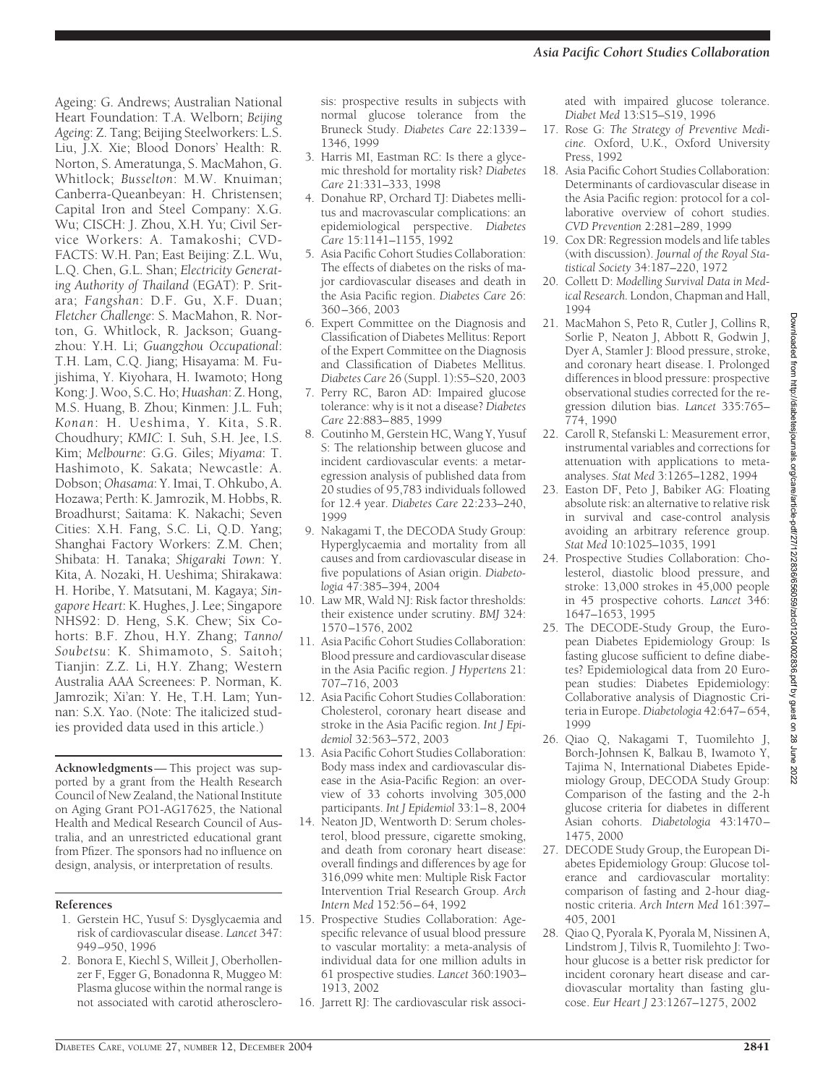Ageing: G. Andrews; Australian National Heart Foundation: T.A. Welborn; *Beijing Ageing*: Z. Tang; Beijing Steelworkers: L.S. Liu, J.X. Xie; Blood Donors' Health: R. Norton, S. Ameratunga, S. MacMahon, G. Whitlock; *Busselton*: M.W. Knuiman; Canberra-Queanbeyan: H. Christensen; Capital Iron and Steel Company: X.G. Wu; CISCH: J. Zhou, X.H. Yu; Civil Service Workers: A. Tamakoshi; CVD-FACTS: W.H. Pan; East Beijing: Z.L. Wu, L.Q. Chen, G.L. Shan; *Electricity Generating Authority of Thailand* (EGAT): P. Sritara; *Fangshan*: D.F. Gu, X.F. Duan; *Fletcher Challenge*: S. MacMahon, R. Norton, G. Whitlock, R. Jackson; Guangzhou: Y.H. Li; *Guangzhou Occupational*: T.H. Lam, C.Q. Jiang; Hisayama: M. Fujishima, Y. Kiyohara, H. Iwamoto; Hong Kong: J. Woo, S.C. Ho;*Huashan*: Z. Hong, M.S. Huang, B. Zhou; Kinmen: J.L. Fuh; *Konan*: H. Ueshima, Y. Kita, S.R. Choudhury; *KMIC*: I. Suh, S.H. Jee, I.S. Kim; *Melbourne*: G.G. Giles; *Miyama*: T. Hashimoto, K. Sakata; Newcastle: A. Dobson;*Ohasama*: Y. Imai, T. Ohkubo, A. Hozawa; Perth: K. Jamrozik, M. Hobbs, R. Broadhurst; Saitama: K. Nakachi; Seven Cities: X.H. Fang, S.C. Li, Q.D. Yang; Shanghai Factory Workers: Z.M. Chen; Shibata: H. Tanaka; *Shigaraki Town*: Y. Kita, A. Nozaki, H. Ueshima; Shirakawa: H. Horibe, Y. Matsutani, M. Kagaya; *Singapore Heart*: K. Hughes, J. Lee; Singapore NHS92: D. Heng, S.K. Chew; Six Cohorts: B.F. Zhou, H.Y. Zhang; *Tanno/ Soubetsu*: K. Shimamoto, S. Saitoh; Tianjin: Z.Z. Li, H.Y. Zhang; Western Australia AAA Screenees: P. Norman, K. Jamrozik; Xi'an: Y. He, T.H. Lam; Yunnan: S.X. Yao. (Note: The italicized studies provided data used in this article.)

**Acknowledgments**— This project was supported by a grant from the Health Research Council of New Zealand, the National Institute on Aging Grant PO1-AG17625, the National Health and Medical Research Council of Australia, and an unrestricted educational grant from Pfizer. The sponsors had no influence on design, analysis, or interpretation of results.

## **References**

- 1. Gerstein HC, Yusuf S: Dysglycaemia and risk of cardiovascular disease. *Lancet* 347: 949–950, 1996
- 2. Bonora E, Kiechl S, Willeit J, Oberhollenzer F, Egger G, Bonadonna R, Muggeo M: Plasma glucose within the normal range is not associated with carotid atherosclero-

sis: prospective results in subjects with normal glucose tolerance from the Bruneck Study. *Diabetes Care* 22:1339– 1346, 1999

- 3. Harris MI, Eastman RC: Is there a glycemic threshold for mortality risk? *Diabetes Care* 21:331–333, 1998
- 4. Donahue RP, Orchard TJ: Diabetes mellitus and macrovascular complications: an epidemiological perspective. *Diabetes Care* 15:1141–1155, 1992
- 5. Asia Pacific Cohort Studies Collaboration: The effects of diabetes on the risks of major cardiovascular diseases and death in the Asia Pacific region. *Diabetes Care* 26: 360–366, 2003
- 6. Expert Committee on the Diagnosis and Classification of Diabetes Mellitus: Report of the Expert Committee on the Diagnosis and Classification of Diabetes Mellitus. *Diabetes Care* 26 (Suppl. 1):S5–S20, 2003
- 7. Perry RC, Baron AD: Impaired glucose tolerance: why is it not a disease? *Diabetes Care* 22:883–885, 1999
- 8. Coutinho M, Gerstein HC, Wang Y, Yusuf S: The relationship between glucose and incident cardiovascular events: a metaregression analysis of published data from 20 studies of 95,783 individuals followed for 12.4 year. *Diabetes Care* 22:233–240, 1999
- 9. Nakagami T, the DECODA Study Group: Hyperglycaemia and mortality from all causes and from cardiovascular disease in five populations of Asian origin. *Diabetologia* 47:385–394, 2004
- 10. Law MR, Wald NJ: Risk factor thresholds: their existence under scrutiny. *BMJ* 324: 1570–1576, 2002
- 11. Asia Pacific Cohort Studies Collaboration: Blood pressure and cardiovascular disease in the Asia Pacific region. *J Hypertens* 21: 707–716, 2003
- 12. Asia Pacific Cohort Studies Collaboration: Cholesterol, coronary heart disease and stroke in the Asia Pacific region. *Int J Epidemiol* 32:563–572, 2003
- 13. Asia Pacific Cohort Studies Collaboration: Body mass index and cardiovascular disease in the Asia-Pacific Region: an overview of 33 cohorts involving 305,000 participants. *Int J Epidemiol* 33:1–8, 2004
- 14. Neaton JD, Wentworth D: Serum cholesterol, blood pressure, cigarette smoking, and death from coronary heart disease: overall findings and differences by age for 316,099 white men: Multiple Risk Factor Intervention Trial Research Group. *Arch Intern Med* 152:56–64, 1992
- 15. Prospective Studies Collaboration: Agespecific relevance of usual blood pressure to vascular mortality: a meta-analysis of individual data for one million adults in 61 prospective studies. *Lancet* 360:1903– 1913, 2002
- 16. Jarrett RJ: The cardiovascular risk associ-

ated with impaired glucose tolerance. *Diabet Med* 13:S15–S19, 1996

- 17. Rose G: *The Strategy of Preventive Medicine.* Oxford, U.K., Oxford University Press, 1992
- 18. Asia Pacific Cohort Studies Collaboration: Determinants of cardiovascular disease in the Asia Pacific region: protocol for a collaborative overview of cohort studies. *CVD Prevention* 2:281–289, 1999
- 19. Cox DR: Regression models and life tables (with discussion). *Journal of the Royal Statistical Society* 34:187–220, 1972
- 20. Collett D: *Modelling Survival Data in Medical Research.* London, Chapman and Hall, 1994
- 21. MacMahon S, Peto R, Cutler J, Collins R, Sorlie P, Neaton J, Abbott R, Godwin J, Dyer A, Stamler J: Blood pressure, stroke, and coronary heart disease. I. Prolonged differences in blood pressure: prospective observational studies corrected for the regression dilution bias. *Lancet* 335:765– 774, 1990
- 22. Caroll R, Stefanski L: Measurement error, instrumental variables and corrections for attenuation with applications to metaanalyses. *Stat Med* 3:1265–1282, 1994
- 23. Easton DF, Peto J, Babiker AG: Floating absolute risk: an alternative to relative risk in survival and case-control analysis avoiding an arbitrary reference group. *Stat Med* 10:1025–1035, 1991
- 24. Prospective Studies Collaboration: Cholesterol, diastolic blood pressure, and stroke: 13,000 strokes in 45,000 people in 45 prospective cohorts. *Lancet* 346: 1647–1653, 1995
- 25. The DECODE-Study Group, the European Diabetes Epidemiology Group: Is fasting glucose sufficient to define diabetes? Epidemiological data from 20 European studies: Diabetes Epidemiology: Collaborative analysis of Diagnostic Criteria in Europe. *Diabetologia* 42:647–654, 1999
- 26. Qiao Q, Nakagami T, Tuomilehto J, Borch-Johnsen K, Balkau B, Iwamoto Y, Tajima N, International Diabetes Epidemiology Group, DECODA Study Group: Comparison of the fasting and the 2-h glucose criteria for diabetes in different Asian cohorts. *Diabetologia* 43:1470– 1475, 2000
- 27. DECODE Study Group, the European Diabetes Epidemiology Group: Glucose tolerance and cardiovascular mortality: comparison of fasting and 2-hour diagnostic criteria. *Arch Intern Med* 161:397– 405, 2001
- 28. Qiao Q, Pyorala K, Pyorala M, Nissinen A, Lindstrom J, Tilvis R, Tuomilehto J: Twohour glucose is a better risk predictor for incident coronary heart disease and cardiovascular mortality than fasting glucose. *Eur Heart J* 23:1267–1275, 2002